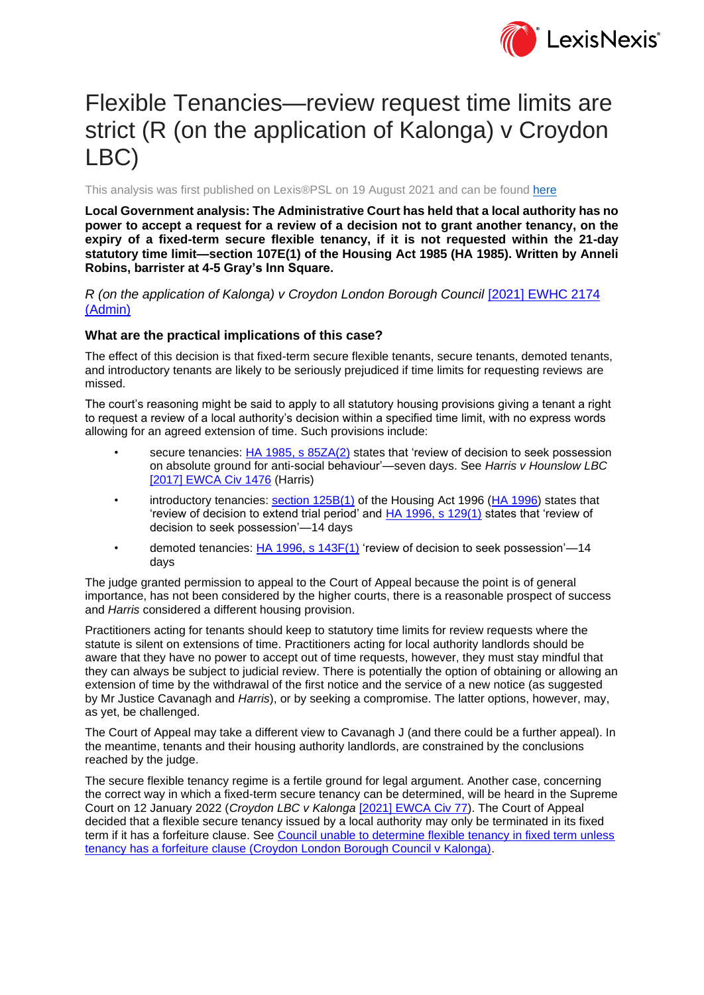

# Flexible Tenancies—review request time limits are strict (R (on the application of Kalonga) v Croydon LBC)

This analysis was first published on Lexis®PSL on 19 August 2021 and can be found [here](https://www.lexisnexis.co.uk/legal/news/flexible-tenancies-review-request-time-limits-are-strict-r-on-the-application-of-kalonga-v-croydon)

**Local Government analysis: The Administrative Court has held that a local authority has no power to accept a request for a review of a decision not to grant another tenancy, on the expiry of a fixed-term secure flexible tenancy, if it is not requested within the 21-day statutory time limit—section 107E(1) of the Housing Act 1985 (HA 1985). Written by Anneli Robins, barrister at 4-5 Gray's Inn Square.**

*R (on the application of Kalonga) v Croydon London Borough Council* [\[2021\] EWHC 2174](https://www.lexisnexis.com/uk/lexispsl/localgovernment/citationlinkHandler.faces?bct=A&service=citation&risb=&EWHCADMIN&$sel1!%252021%25$year!%252021%25$page!%252174%25)  [\(Admin\)](https://www.lexisnexis.com/uk/lexispsl/localgovernment/citationlinkHandler.faces?bct=A&service=citation&risb=&EWHCADMIN&$sel1!%252021%25$year!%252021%25$page!%252174%25)

#### **What are the practical implications of this case?**

The effect of this decision is that fixed-term secure flexible tenants, secure tenants, demoted tenants, and introductory tenants are likely to be seriously prejudiced if time limits for requesting reviews are missed.

The court's reasoning might be said to apply to all statutory housing provisions giving a tenant a right to request a review of a local authority's decision within a specified time limit, with no express words allowing for an agreed extension of time. Such provisions include:

- secure tenancies: [HA 1985, s 85ZA\(2\)](https://www.lexisnexis.com/uk/lexispsl/localgovernment/citationlinkHandler.faces?bct=A&service=citation&risb=&UK_LEG&$num!%251985_68a_SECT_85ZA%25) states that 'review of decision to seek possession on absolute ground for anti-social behaviour'—seven days. See *Harris v Hounslow LBC*  [\[2017\] EWCA Civ 1476](https://www.lexisnexis.com/uk/lexispsl/localgovernment/citationlinkHandler.faces?bct=A&service=citation&risb=&EWCACIV&$sel1!%252017%25$year!%252017%25$page!%251476%25) (Harris)
- introductory tenancies: [section 125B\(1\)](https://www.lexisnexis.com/uk/lexispsl/localgovernment/citationlinkHandler.faces?bct=A&service=citation&risb=&UK_LEG&$num!%251996_52a_SECT_125B%25) of the Housing Act 1996 [\(HA 1996\)](https://www.lexisnexis.com/uk/lexispsl/localgovernment/citationlinkHandler.faces?bct=A&service=citation&risb=&UK_LEG&$num!%251996_52a_Title%25) states that 'review of decision to extend trial period' and [HA 1996, s 129\(1\)](https://www.lexisnexis.com/uk/lexispsl/localgovernment/citationlinkHandler.faces?bct=A&service=citation&risb=&UK_LEG&$num!%251996_52a_SECT_129%25) states that 'review of decision to seek possession'—14 days
- demoted tenancies: [HA 1996, s 143F\(1\)](https://www.lexisnexis.com/uk/lexispsl/localgovernment/citationlinkHandler.faces?bct=A&service=citation&risb=&UK_LEG&$num!%251996_52a_SECT_143F%25) 'review of decision to seek possession'-14 days

The judge granted permission to appeal to the Court of Appeal because the point is of general importance, has not been considered by the higher courts, there is a reasonable prospect of success and *Harris* considered a different housing provision.

Practitioners acting for tenants should keep to statutory time limits for review requests where the statute is silent on extensions of time. Practitioners acting for local authority landlords should be aware that they have no power to accept out of time requests, however, they must stay mindful that they can always be subject to judicial review. There is potentially the option of obtaining or allowing an extension of time by the withdrawal of the first notice and the service of a new notice (as suggested by Mr Justice Cavanagh and *Harris*), or by seeking a compromise. The latter options, however, may, as yet, be challenged.

The Court of Appeal may take a different view to Cavanagh J (and there could be a further appeal). In the meantime, tenants and their housing authority landlords, are constrained by the conclusions reached by the judge.

The secure flexible tenancy regime is a fertile ground for legal argument. Another case, concerning the correct way in which a fixed-term secure tenancy can be determined, will be heard in the Supreme Court on 12 January 2022 (*Croydon LBC v Kalonga* [\[2021\] EWCA Civ 77\)](https://www.lexisnexis.com/uk/lexispsl/localgovernment/citationlinkHandler.faces?bct=A&service=citation&risb=&EWCACIV&$sel1!%252021%25$year!%252021%25$page!%2577%25). The Court of Appeal decided that a flexible secure tenancy issued by a local authority may only be terminated in its fixed term if it has a forfeiture clause. See [Council unable to determine flexible tenancy in fixed term unless](https://www.lexisnexis.com/uk/lexispsl/localgovernment/linkHandler.faces?ps=null&bct=A&homeCsi=412012&A=0.9557218770358643&urlEnc=ISO-8859-1&&dpsi=0S4D&remotekey1=DOC-ID&remotekey2=0S4D_3971797&service=DOC-ID&origdpsi=0S4D)  [tenancy has a forfeiture clause \(Croydon London Borough Council v Kalonga\).](https://www.lexisnexis.com/uk/lexispsl/localgovernment/linkHandler.faces?ps=null&bct=A&homeCsi=412012&A=0.9557218770358643&urlEnc=ISO-8859-1&&dpsi=0S4D&remotekey1=DOC-ID&remotekey2=0S4D_3971797&service=DOC-ID&origdpsi=0S4D)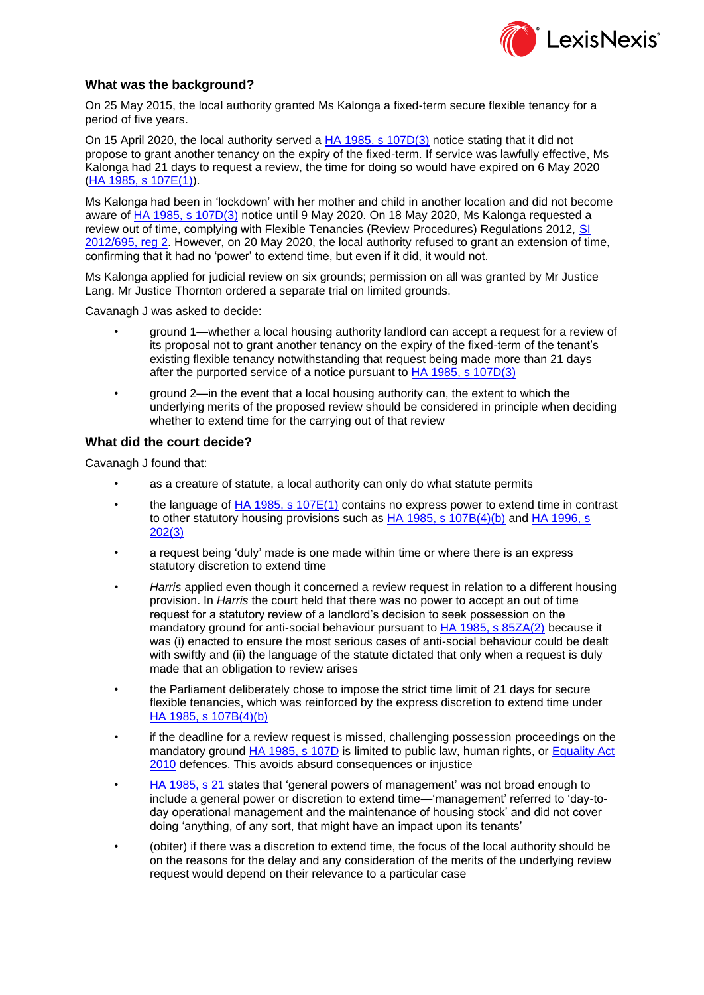

## **What was the background?**

On 25 May 2015, the local authority granted Ms Kalonga a fixed-term secure flexible tenancy for a period of five years.

On 15 April 2020, the local authority served a **HA 1985**, s 107D(3) notice stating that it did not propose to grant another tenancy on the expiry of the fixed-term. If service was lawfully effective, Ms Kalonga had 21 days to request a review, the time for doing so would have expired on 6 May 2020 [\(HA 1985, s 107E\(1\)\)](https://www.lexisnexis.com/uk/lexispsl/localgovernment/citationlinkHandler.faces?bct=A&service=citation&risb=&UK_LEG&$num!%251985_68a_SECT_107E%25).

Ms Kalonga had been in 'lockdown' with her mother and child in another location and did not become aware of [HA 1985, s 107D\(3\)](https://www.lexisnexis.com/uk/lexispsl/localgovernment/citationlinkHandler.faces?bct=A&service=citation&risb=&UK_LEG&$num!%251985_68a_SECT_107D%25) notice until 9 May 2020. On 18 May 2020, Ms Kalonga requested a review out of time, complying with Flexible Tenancies (Review Procedures) Regulations 2012, [SI](https://www.lexisnexis.com/uk/lexispsl/localgovernment/citationlinkHandler.faces?bct=A&service=citation&risb=&UK_LEG&$num!%252012_695s_SECT_2%25)  [2012/695, reg 2.](https://www.lexisnexis.com/uk/lexispsl/localgovernment/citationlinkHandler.faces?bct=A&service=citation&risb=&UK_LEG&$num!%252012_695s_SECT_2%25) However, on 20 May 2020, the local authority refused to grant an extension of time, confirming that it had no 'power' to extend time, but even if it did, it would not.

Ms Kalonga applied for judicial review on six grounds; permission on all was granted by Mr Justice Lang. Mr Justice Thornton ordered a separate trial on limited grounds.

Cavanagh J was asked to decide:

- ground 1—whether a local housing authority landlord can accept a request for a review of its proposal not to grant another tenancy on the expiry of the fixed-term of the tenant's existing flexible tenancy notwithstanding that request being made more than 21 days after the purported service of a notice pursuant to [HA 1985, s 107D\(3\)](https://www.lexisnexis.com/uk/lexispsl/localgovernment/citationlinkHandler.faces?bct=A&service=citation&risb=&UK_LEG&$num!%251985_68a_SECT_107D%25)
- ground 2—in the event that a local housing authority can, the extent to which the underlying merits of the proposed review should be considered in principle when deciding whether to extend time for the carrying out of that review

## **What did the court decide?**

Cavanagh J found that:

- as a creature of statute, a local authority can only do what statute permits
- the language of [HA 1985, s 107E\(1\)](https://www.lexisnexis.com/uk/lexispsl/localgovernment/citationlinkHandler.faces?bct=A&service=citation&risb=&UK_LEG&$num!%251985_68a_SECT_107E%25) contains no express power to extend time in contrast to other statutory housing provisions such as [HA 1985, s 107B\(4\)\(b\)](https://www.lexisnexis.com/uk/lexispsl/localgovernment/citationlinkHandler.faces?bct=A&service=citation&risb=&UK_LEG&$num!%251985_68a_SECT_107B%25) and HA 1996, s [202\(3\)](https://www.lexisnexis.com/uk/lexispsl/localgovernment/citationlinkHandler.faces?bct=A&service=citation&risb=&UK_LEG&$num!%251996_52a_SECT_202%25)
- a request being 'duly' made is one made within time or where there is an express statutory discretion to extend time
- *Harris* applied even though it concerned a review request in relation to a different housing provision. In *Harris* the court held that there was no power to accept an out of time request for a statutory review of a landlord's decision to seek possession on the mandatory ground for anti-social behaviour pursuant to **HA 1985, s 85ZA(2)** because it was (i) enacted to ensure the most serious cases of anti-social behaviour could be dealt with swiftly and (ii) the language of the statute dictated that only when a request is duly made that an obligation to review arises
- the Parliament deliberately chose to impose the strict time limit of 21 days for secure flexible tenancies, which was reinforced by the express discretion to extend time under [HA 1985, s 107B\(4\)\(b\)](https://www.lexisnexis.com/uk/lexispsl/localgovernment/citationlinkHandler.faces?bct=A&service=citation&risb=&UK_LEG&$num!%251985_68a_SECT_107B%25)
- if the deadline for a review request is missed, challenging possession proceedings on the mandatory ground [HA 1985, s 107D](https://www.lexisnexis.com/uk/lexispsl/localgovernment/citationlinkHandler.faces?bct=A&service=citation&risb=&UK_LEG&$num!%251985_68a_SECT_107D%25) is limited to public law, human rights, or Equality Act [2010](https://www.lexisnexis.com/uk/lexispsl/localgovernment/citationlinkHandler.faces?bct=A&service=citation&risb=&UK_LEG&$num!%252010_15a_Title%25) defences. This avoids absurd consequences or injustice
- [HA 1985, s 21](https://www.lexisnexis.com/uk/lexispsl/localgovernment/citationlinkHandler.faces?bct=A&service=citation&risb=&UK_LEG&$num!%251985_68a_SECT_21%25) states that 'general powers of management' was not broad enough to include a general power or discretion to extend time—'management' referred to 'day-today operational management and the maintenance of housing stock' and did not cover doing 'anything, of any sort, that might have an impact upon its tenants'
- (obiter) if there was a discretion to extend time, the focus of the local authority should be on the reasons for the delay and any consideration of the merits of the underlying review request would depend on their relevance to a particular case